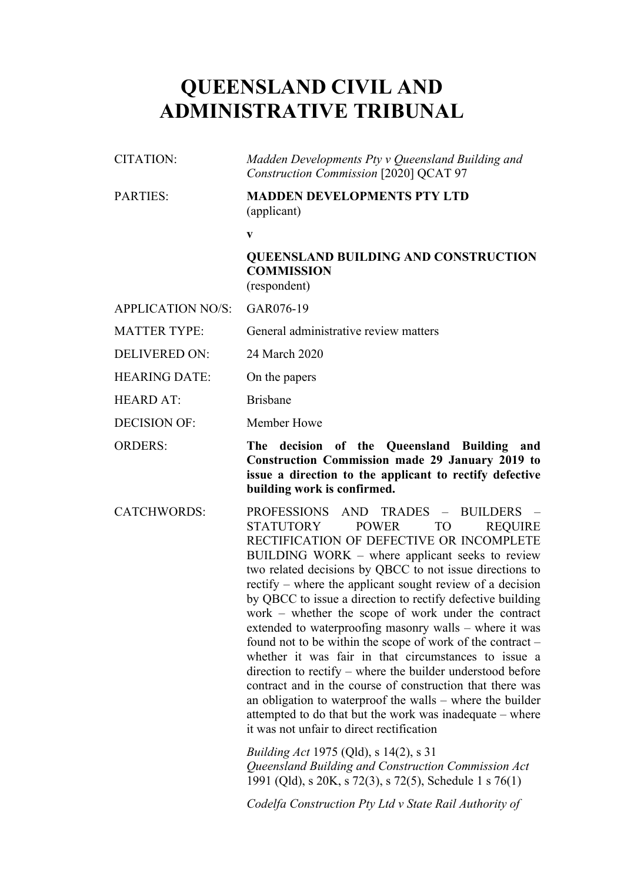# **QUEENSLAND CIVIL AND ADMINISTRATIVE TRIBUNAL**

| CITATION: | Madden Developments Pty v Queensland Building and |
|-----------|---------------------------------------------------|
|           | Construction Commission [2020] QCAT 97            |

# PARTIES: **MADDEN DEVELOPMENTS PTY LTD** (applicant)

**v**

## **QUEENSLAND BUILDING AND CONSTRUCTION COMMISSION** (respondent)

APPLICATION NO/S: GAR076-19

MATTER TYPE: General administrative review matters

DELIVERED ON: 24 March 2020

HEARING DATE: On the papers

HEARD AT<sup>.</sup> Brisbane

DECISION OF: Member Howe

ORDERS: **The decision of the Queensland Building and Construction Commission made 29 January 2019 to issue a direction to the applicant to rectify defective building work is confirmed.**

CATCHWORDS: PROFESSIONS AND TRADES – BUILDERS – STATUTORY POWER TO REQUIRE RECTIFICATION OF DEFECTIVE OR INCOMPLETE BUILDING WORK – where applicant seeks to review two related decisions by QBCC to not issue directions to rectify – where the applicant sought review of a decision by QBCC to issue a direction to rectify defective building work – whether the scope of work under the contract extended to waterproofing masonry walls – where it was found not to be within the scope of work of the contract – whether it was fair in that circumstances to issue a direction to rectify – where the builder understood before contract and in the course of construction that there was an obligation to waterproof the walls – where the builder attempted to do that but the work was inadequate – where it was not unfair to direct rectification

> *Building Act* 1975 (Qld), s 14(2), s 31 *Queensland Building and Construction Commission Act* 1991 (Qld), s 20K, s 72(3), s 72(5), Schedule 1 s 76(1)

*Codelfa Construction Pty Ltd v State Rail Authority of*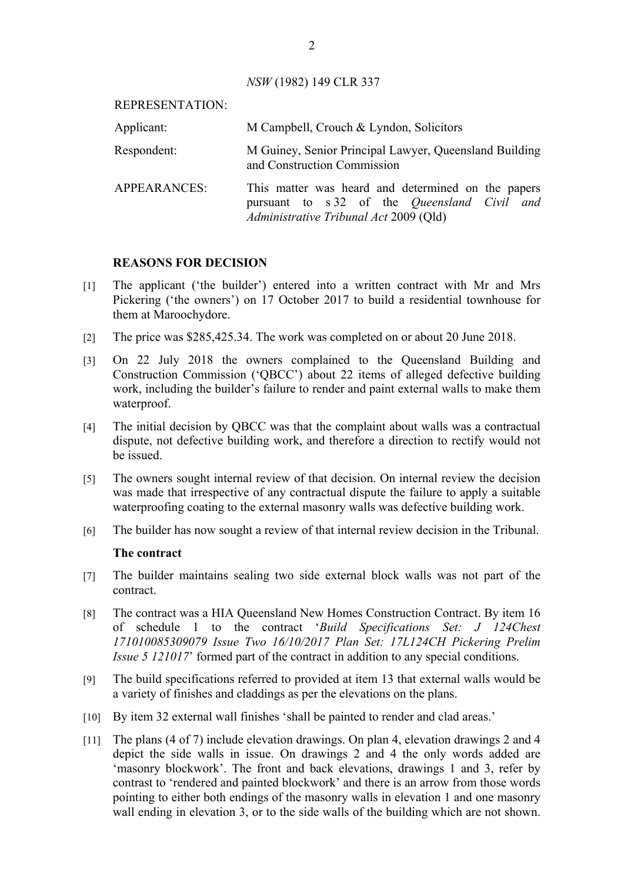*NSW* (1982) 149 CLR 337

| REPRESENTATION:     |                                                                                                                                                     |
|---------------------|-----------------------------------------------------------------------------------------------------------------------------------------------------|
| Applicant:          | M Campbell, Crouch & Lyndon, Solicitors                                                                                                             |
| Respondent:         | M Guiney, Senior Principal Lawyer, Queensland Building<br>and Construction Commission                                                               |
| <b>APPEARANCES:</b> | This matter was heard and determined on the papers<br>pursuant to s 32 of the <i>Queensland Civil and</i><br>Administrative Tribunal Act 2009 (Qld) |

## **REASONS FOR DECISION**

- [1] The applicant ('the builder') entered into a written contract with Mr and Mrs Pickering ('the owners') on 17 October 2017 to build a residential townhouse for them at Maroochydore.
- [2] The price was \$285,425.34. The work was completed on or about 20 June 2018.
- [3] On 22 July 2018 the owners complained to the Queensland Building and Construction Commission ('QBCC') about 22 items of alleged defective building work, including the builder's failure to render and paint external walls to make them waterproof.
- [4] The initial decision by QBCC was that the complaint about walls was a contractual dispute, not defective building work, and therefore a direction to rectify would not be issued.
- [5] The owners sought internal review of that decision. On internal review the decision was made that irrespective of any contractual dispute the failure to apply a suitable waterproofing coating to the external masonry walls was defective building work.
- [6] The builder has now sought a review of that internal review decision in the Tribunal.

## **The contract**

- [7] The builder maintains sealing two side external block walls was not part of the contract.
- [8] The contract was a HIA Queensland New Homes Construction Contract. By item 16 of schedule 1 to the contract '*Build Specifications Set: J 124Chest 171010085309079 Issue Two 16/10/2017 Plan Set: 17L124CH Pickering Prelim Issue 5 121017*' formed part of the contract in addition to any special conditions.
- [9] The build specifications referred to provided at item 13 that external walls would be a variety of finishes and claddings as per the elevations on the plans.
- [10] By item 32 external wall finishes 'shall be painted to render and clad areas.'
- [11] The plans (4 of 7) include elevation drawings. On plan 4, elevation drawings 2 and 4 depict the side walls in issue. On drawings 2 and 4 the only words added are 'masonry blockwork'. The front and back elevations, drawings 1 and 3, refer by contrast to 'rendered and painted blockwork' and there is an arrow from those words pointing to either both endings of the masonry walls in elevation 1 and one masonry wall ending in elevation 3, or to the side walls of the building which are not shown.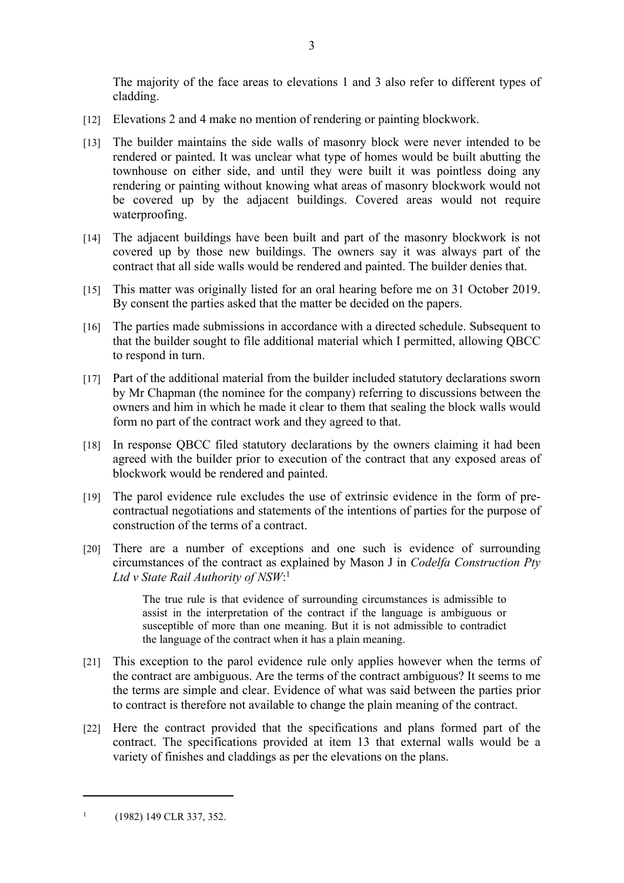The majority of the face areas to elevations 1 and 3 also refer to different types of cladding.

- [12] Elevations 2 and 4 make no mention of rendering or painting blockwork.
- [13] The builder maintains the side walls of masonry block were never intended to be rendered or painted. It was unclear what type of homes would be built abutting the townhouse on either side, and until they were built it was pointless doing any rendering or painting without knowing what areas of masonry blockwork would not be covered up by the adjacent buildings. Covered areas would not require waterproofing.
- [14] The adjacent buildings have been built and part of the masonry blockwork is not covered up by those new buildings. The owners say it was always part of the contract that all side walls would be rendered and painted. The builder denies that.
- [15] This matter was originally listed for an oral hearing before me on 31 October 2019. By consent the parties asked that the matter be decided on the papers.
- [16] The parties made submissions in accordance with a directed schedule. Subsequent to that the builder sought to file additional material which I permitted, allowing QBCC to respond in turn.
- [17] Part of the additional material from the builder included statutory declarations sworn by Mr Chapman (the nominee for the company) referring to discussions between the owners and him in which he made it clear to them that sealing the block walls would form no part of the contract work and they agreed to that.
- [18] In response QBCC filed statutory declarations by the owners claiming it had been agreed with the builder prior to execution of the contract that any exposed areas of blockwork would be rendered and painted.
- [19] The parol evidence rule excludes the use of extrinsic evidence in the form of precontractual negotiations and statements of the intentions of parties for the purpose of construction of the terms of a contract.
- [20] There are a number of exceptions and one such is evidence of surrounding circumstances of the contract as explained by Mason J in *Codelfa Construction Pty Ltd v State Rail Authority of NSW*: 1

The true rule is that evidence of surrounding circumstances is admissible to assist in the interpretation of the contract if the language is ambiguous or susceptible of more than one meaning. But it is not admissible to contradict the language of the contract when it has a plain meaning.

- [21] This exception to the parol evidence rule only applies however when the terms of the contract are ambiguous. Are the terms of the contract ambiguous? It seems to me the terms are simple and clear. Evidence of what was said between the parties prior to contract is therefore not available to change the plain meaning of the contract.
- [22] Here the contract provided that the specifications and plans formed part of the contract. The specifications provided at item 13 that external walls would be a variety of finishes and claddings as per the elevations on the plans.

<sup>1</sup> (1982) 149 CLR 337, 352.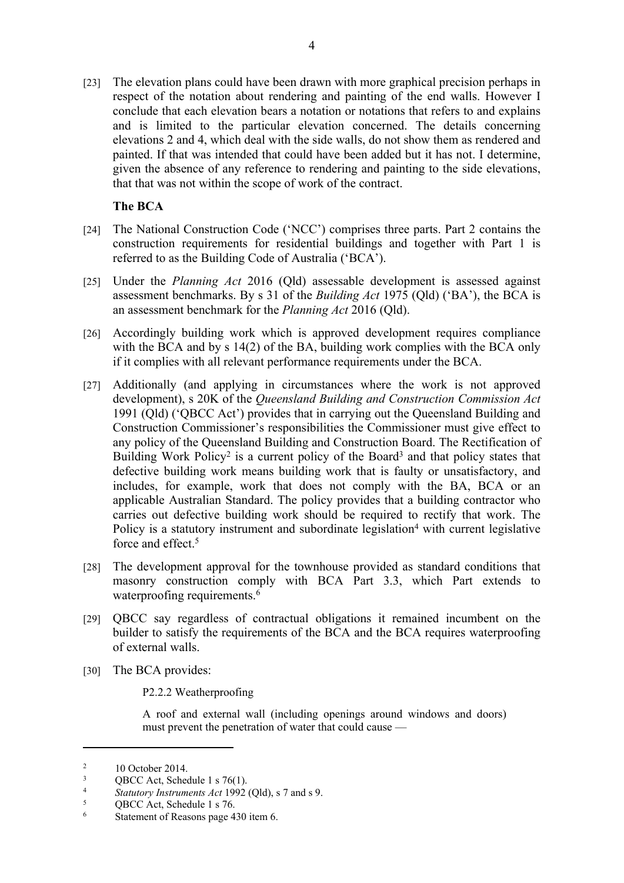[23] The elevation plans could have been drawn with more graphical precision perhaps in respect of the notation about rendering and painting of the end walls. However I conclude that each elevation bears a notation or notations that refers to and explains and is limited to the particular elevation concerned. The details concerning elevations 2 and 4, which deal with the side walls, do not show them as rendered and painted. If that was intended that could have been added but it has not. I determine, given the absence of any reference to rendering and painting to the side elevations, that that was not within the scope of work of the contract.

# **The BCA**

- [24] The National Construction Code ('NCC') comprises three parts. Part 2 contains the construction requirements for residential buildings and together with Part 1 is referred to as the Building Code of Australia ('BCA').
- [25] Under the *Planning Act* 2016 (Qld) assessable development is assessed against assessment benchmarks. By s 31 of the *Building Act* 1975 (Qld) ('BA'), the BCA is an assessment benchmark for the *Planning Act* 2016 (Qld).
- [26] Accordingly building work which is approved development requires compliance with the BCA and by s 14(2) of the BA, building work complies with the BCA only if it complies with all relevant performance requirements under the BCA.
- [27] Additionally (and applying in circumstances where the work is not approved development), s 20K of the *Queensland Building and Construction Commission Act*  1991 (Qld) ('QBCC Act') provides that in carrying out the Queensland Building and Construction Commissioner's responsibilities the Commissioner must give effect to any policy of the Queensland Building and Construction Board. The Rectification of Building Work Policy<sup>2</sup> is a current policy of the Board<sup>3</sup> and that policy states that defective building work means building work that is faulty or unsatisfactory, and includes, for example, work that does not comply with the BA, BCA or an applicable Australian Standard. The policy provides that a building contractor who carries out defective building work should be required to rectify that work. The Policy is a statutory instrument and subordinate legislation<sup>4</sup> with current legislative force and effect.<sup>5</sup>
- [28] The development approval for the townhouse provided as standard conditions that masonry construction comply with BCA Part 3.3, which Part extends to waterproofing requirements.<sup>6</sup>
- [29] QBCC say regardless of contractual obligations it remained incumbent on the builder to satisfy the requirements of the BCA and the BCA requires waterproofing of external walls.
- [30] The BCA provides:

P2.2.2 Weatherproofing

A roof and external wall (including openings around windows and doors) must prevent the penetration of water that could cause —

 $\overline{2}$ 10 October 2014.

<sup>3</sup>  $QBCC$  Act, Schedule 1 s 76(1).

<sup>4</sup> *Statutory Instruments Act* 1992 (Qld), s 7 and s 9.

<sup>5</sup> QBCC Act, Schedule 1 s 76.

<sup>6</sup> Statement of Reasons page 430 item 6.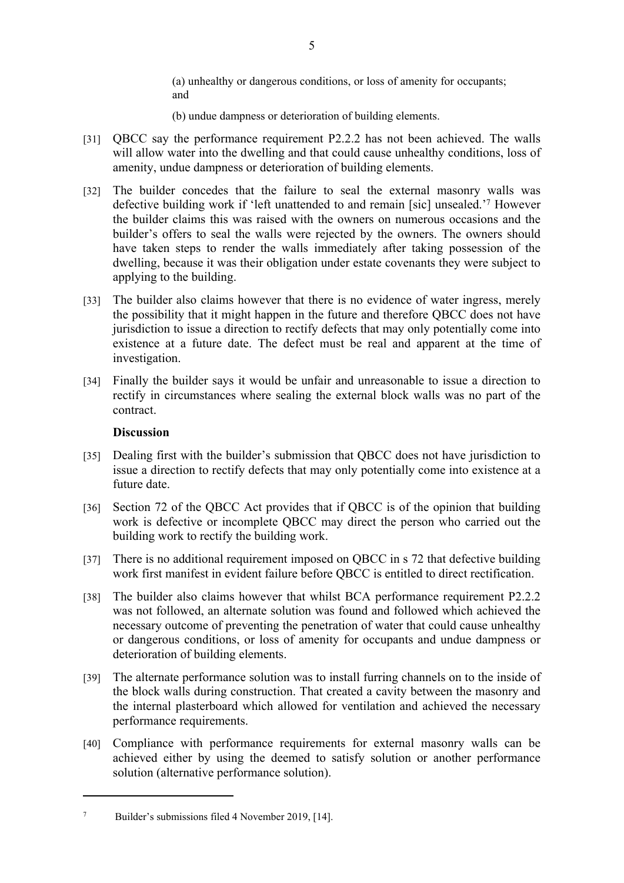(a) unhealthy or dangerous conditions, or loss of amenity for occupants; and

- (b) undue dampness or deterioration of building elements.
- [31] QBCC say the performance requirement P2.2.2 has not been achieved. The walls will allow water into the dwelling and that could cause unhealthy conditions, loss of amenity, undue dampness or deterioration of building elements.
- [32] The builder concedes that the failure to seal the external masonry walls was defective building work if 'left unattended to and remain [sic] unsealed.'<sup>7</sup> However the builder claims this was raised with the owners on numerous occasions and the builder's offers to seal the walls were rejected by the owners. The owners should have taken steps to render the walls immediately after taking possession of the dwelling, because it was their obligation under estate covenants they were subject to applying to the building.
- [33] The builder also claims however that there is no evidence of water ingress, merely the possibility that it might happen in the future and therefore QBCC does not have jurisdiction to issue a direction to rectify defects that may only potentially come into existence at a future date. The defect must be real and apparent at the time of investigation.
- [34] Finally the builder says it would be unfair and unreasonable to issue a direction to rectify in circumstances where sealing the external block walls was no part of the contract.

## **Discussion**

- [35] Dealing first with the builder's submission that QBCC does not have jurisdiction to issue a direction to rectify defects that may only potentially come into existence at a future date.
- [36] Section 72 of the QBCC Act provides that if QBCC is of the opinion that building work is defective or incomplete QBCC may direct the person who carried out the building work to rectify the building work.
- [37] There is no additional requirement imposed on QBCC in s 72 that defective building work first manifest in evident failure before QBCC is entitled to direct rectification.
- [38] The builder also claims however that whilst BCA performance requirement P2.2.2 was not followed, an alternate solution was found and followed which achieved the necessary outcome of preventing the penetration of water that could cause unhealthy or dangerous conditions, or loss of amenity for occupants and undue dampness or deterioration of building elements.
- [39] The alternate performance solution was to install furring channels on to the inside of the block walls during construction. That created a cavity between the masonry and the internal plasterboard which allowed for ventilation and achieved the necessary performance requirements.
- [40] Compliance with performance requirements for external masonry walls can be achieved either by using the deemed to satisfy solution or another performance solution (alternative performance solution).

<sup>7</sup> Builder's submissions filed 4 November 2019, [14].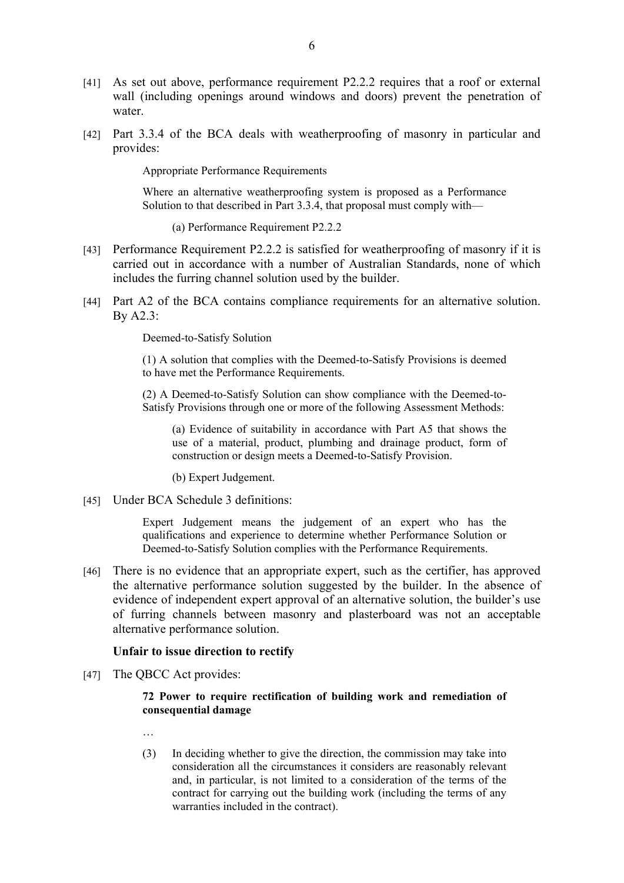- [41] As set out above, performance requirement P2.2.2 requires that a roof or external wall (including openings around windows and doors) prevent the penetration of water
- [42] Part 3.3.4 of the BCA deals with weatherproofing of masonry in particular and provides:

Appropriate Performance Requirements

Where an alternative weatherproofing system is proposed as a Performance Solution to that described in Part 3.3.4, that proposal must comply with—

(a) Performance Requirement P2.2.2

- [43] Performance Requirement P2.2.2 is satisfied for weatherproofing of masonry if it is carried out in accordance with a number of Australian Standards, none of which includes the furring channel solution used by the builder.
- [44] Part A2 of the BCA contains compliance requirements for an alternative solution. By A2.3:

Deemed-to-Satisfy Solution

(1) A solution that complies with the Deemed-to-Satisfy Provisions is deemed to have met the Performance Requirements.

(2) A Deemed-to-Satisfy Solution can show compliance with the Deemed-to-Satisfy Provisions through one or more of the following Assessment Methods:

(a) Evidence of suitability in accordance with Part A5 that shows the use of a material, product, plumbing and drainage product, form of construction or design meets a Deemed-to-Satisfy Provision.

(b) Expert Judgement.

[45] Under BCA Schedule 3 definitions:

Expert Judgement means the judgement of an expert who has the qualifications and experience to determine whether Performance Solution or Deemed-to-Satisfy Solution complies with the Performance Requirements.

[46] There is no evidence that an appropriate expert, such as the certifier, has approved the alternative performance solution suggested by the builder. In the absence of evidence of independent expert approval of an alternative solution, the builder's use of furring channels between masonry and plasterboard was not an acceptable alternative performance solution.

#### **Unfair to issue direction to rectify**

[47] The OBCC Act provides:

#### **72 Power to require rectification of building work and remediation of consequential damage**

- …
- (3) In deciding whether to give the direction, the commission may take into consideration all the circumstances it considers are reasonably relevant and, in particular, is not limited to a consideration of the terms of the contract for carrying out the building work (including the terms of any warranties included in the contract).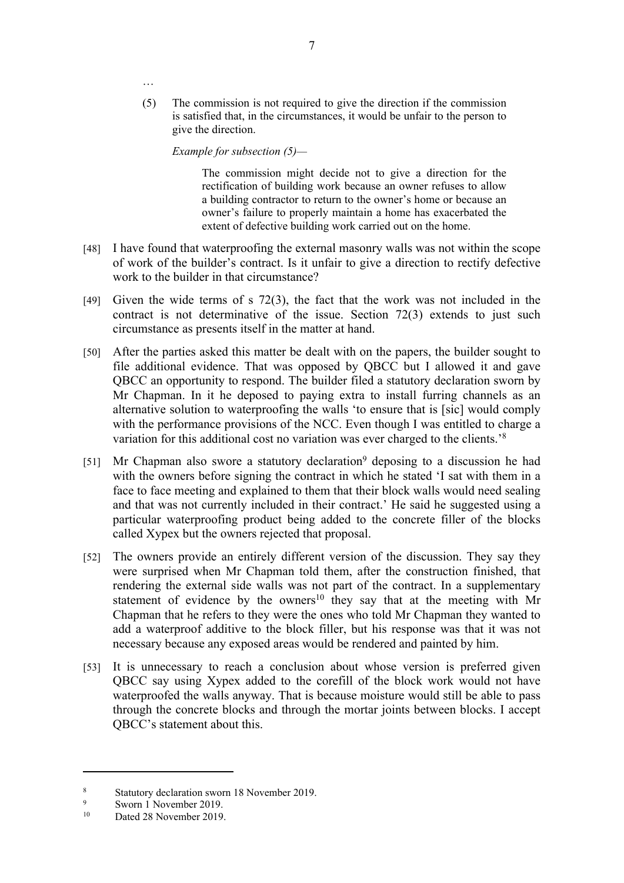(5) The commission is not required to give the direction if the commission is satisfied that, in the circumstances, it would be unfair to the person to give the direction.

*Example for subsection (5)—* 

…

The commission might decide not to give a direction for the rectification of building work because an owner refuses to allow a building contractor to return to the owner's home or because an owner's failure to properly maintain a home has exacerbated the extent of defective building work carried out on the home.

- [48] I have found that waterproofing the external masonry walls was not within the scope of work of the builder's contract. Is it unfair to give a direction to rectify defective work to the builder in that circumstance?
- [49] Given the wide terms of s 72(3), the fact that the work was not included in the contract is not determinative of the issue. Section 72(3) extends to just such circumstance as presents itself in the matter at hand.
- [50] After the parties asked this matter be dealt with on the papers, the builder sought to file additional evidence. That was opposed by QBCC but I allowed it and gave QBCC an opportunity to respond. The builder filed a statutory declaration sworn by Mr Chapman. In it he deposed to paying extra to install furring channels as an alternative solution to waterproofing the walls 'to ensure that is [sic] would comply with the performance provisions of the NCC. Even though I was entitled to charge a variation for this additional cost no variation was ever charged to the clients.'<sup>8</sup>
- [51] Mr Chapman also swore a statutory declaration<sup>9</sup> deposing to a discussion he had with the owners before signing the contract in which he stated 'I sat with them in a face to face meeting and explained to them that their block walls would need sealing and that was not currently included in their contract.' He said he suggested using a particular waterproofing product being added to the concrete filler of the blocks called Xypex but the owners rejected that proposal.
- [52] The owners provide an entirely different version of the discussion. They say they were surprised when Mr Chapman told them, after the construction finished, that rendering the external side walls was not part of the contract. In a supplementary statement of evidence by the owners<sup>10</sup> they say that at the meeting with Mr Chapman that he refers to they were the ones who told Mr Chapman they wanted to add a waterproof additive to the block filler, but his response was that it was not necessary because any exposed areas would be rendered and painted by him.
- [53] It is unnecessary to reach a conclusion about whose version is preferred given QBCC say using Xypex added to the corefill of the block work would not have waterproofed the walls anyway. That is because moisture would still be able to pass through the concrete blocks and through the mortar joints between blocks. I accept QBCC's statement about this.

<sup>8</sup> Statutory declaration sworn 18 November 2019.

<sup>9</sup>  $\frac{9}{10}$  Sworn 1 November 2019.

Dated 28 November 2019.